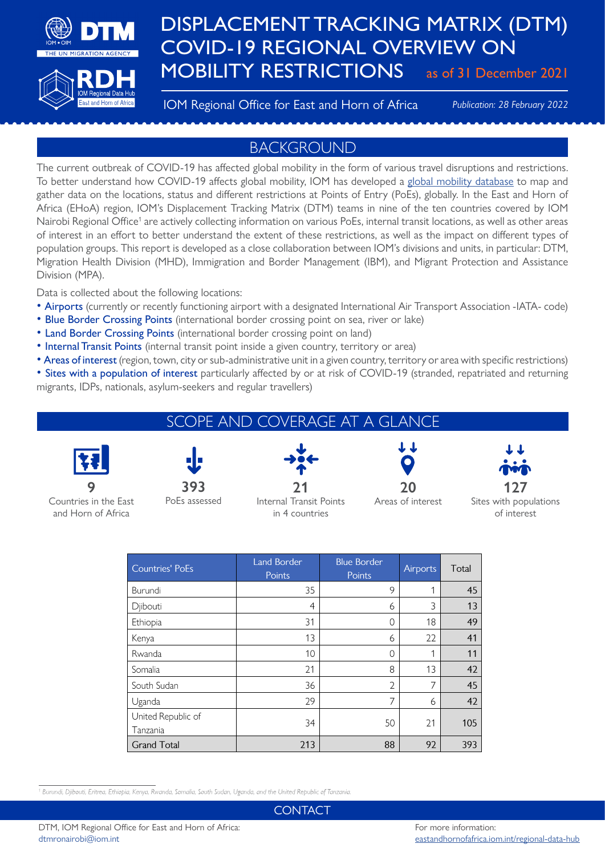

# DISPLACEMENT TRACKING MATRIX (DTM) COVID-19 REGIONAL OVERVIEW ON MOBILITY RESTRICTIONS as of 31 December 2021

#### IOM Regional Office for East and Horn of Africa *Publication: 28 February 2022*

## BACKGROUND

The current outbreak of COVID-19 has affected global mobility in the form of various travel disruptions and restrictions. To better understand how COVID-19 affects global mobility, IOM has developed a [global mobility database](http://migration.iom.int) to map and gather data on the locations, status and different restrictions at Points of Entry (PoEs), globally. In the East and Horn of Africa (EHoA) region, IOM's Displacement Tracking Matrix (DTM) teams in nine of the ten countries covered by IOM Nairobi Regional Office<sup>1</sup> are actively collecting information on various PoEs, internal transit locations, as well as other areas of interest in an effort to better understand the extent of these restrictions, as well as the impact on different types of population groups. This report is developed as a close collaboration between IOM's divisions and units, in particular: DTM, Migration Health Division (MHD), Immigration and Border Management (IBM), and Migrant Protection and Assistance Division (MPA).

Data is collected about the following locations:

- Airports (currently or recently functioning airport with a designated International Air Transport Association -IATA- code)
- Blue Border Crossing Points (international border crossing point on sea, river or lake)
- Land Border Crossing Points (international border crossing point on land)
- Internal Transit Points (internal transit point inside a given country, territory or area)
- Areas of interest (region, town, city or sub-administrative unit in a given country, territory or area with specific restrictions)
- Sites with a population of interest particularly affected by or at risk of COVID-19 (stranded, repatriated and returning migrants, IDPs, nationals, asylum-seekers and regular travellers)

| SCOPE AND COVERAGE AT A GLANCE I |  |  |       |          |  |  |  |
|----------------------------------|--|--|-------|----------|--|--|--|
| FFI                              |  |  | ىك مك | مللو ماك |  |  |  |

**9** Countries in the East and Horn of Africa

**393**

PoEs assessed



Internal Transit Points in 4 countries



Areas of interest



Sites with populations of interest

| Countries' PoEs                | <b>Land Border</b><br>Points | <b>Blue Border</b><br>Points | Airports | Total |
|--------------------------------|------------------------------|------------------------------|----------|-------|
| Burundi                        | 35                           | 9                            | 1        | 45    |
| Djibouti                       | 4                            | 6                            | 3        | 13    |
| Ethiopia                       | 31                           | $\Omega$                     | 18       | 49    |
| Kenya                          | 13                           | 6                            | 22       | 41    |
| Rwanda                         | 10                           | $\Omega$                     | 1        | 11    |
| Somalia                        | 21                           | 8                            | 13       | 42    |
| South Sudan                    | 36                           | $\overline{2}$               | 7        | 45    |
| Uganda                         | 29                           | 7                            | 6        | 42    |
| United Republic of<br>Tanzania | 34                           | 50                           | 21       | 105   |
| <b>Grand Total</b>             | 213                          | 88                           | 92       | 393   |

**CONTACT**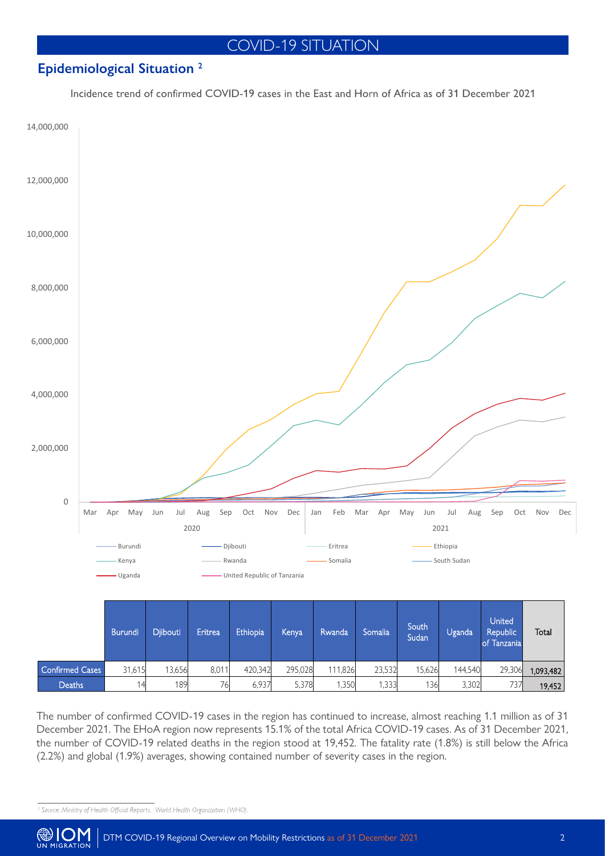# COVID-19 SITUATION

### **Epidemiological Situation 2**

Incidence trend of confirmed COVID-19 cases in the East and Horn of Africa as of 31 December 2021



The number of confirmed COVID-19 cases in the region has continued to increase, almost reaching 1.1 million as of 31 December 2021. The EHoA region now represents 15.1% of the total Africa COVID-19 cases. As of 31 December 2021, the number of COVID-19 related deaths in the region stood at 19,452. The fatality rate (1.8%) is still below the Africa (2.2%) and global (1.9%) averages, showing contained number of severity cases in the region.

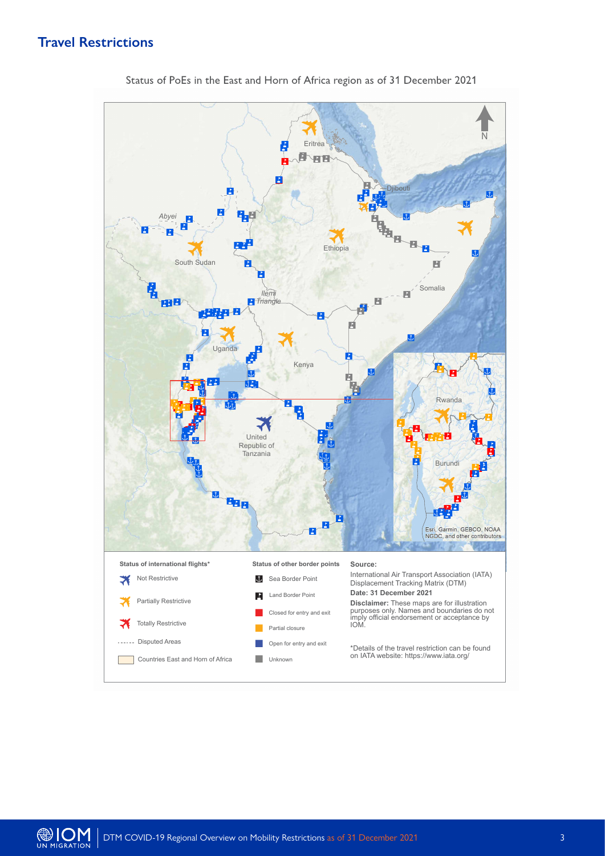### **Travel Restrictions**



Status of PoEs in the East and Horn of Africa region as of 31 December 2021

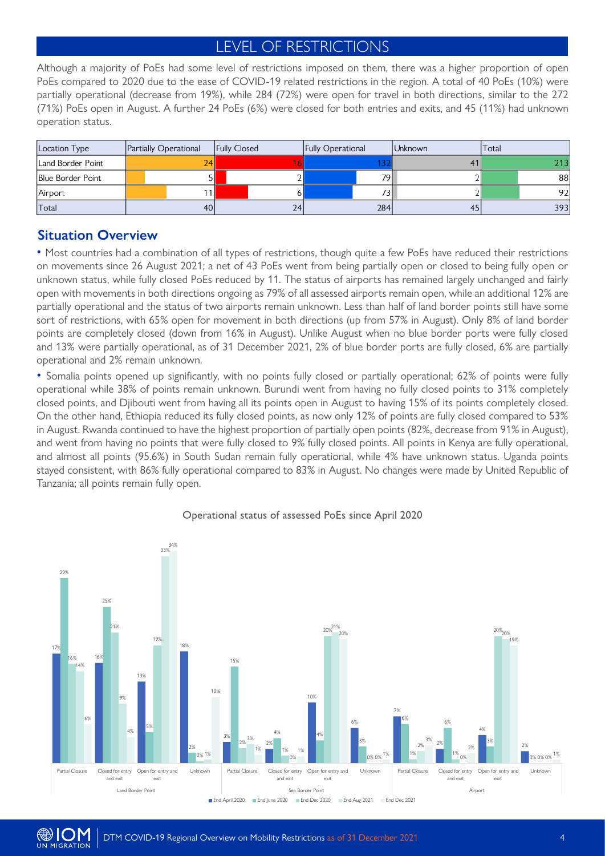# LEVEL OF RESTRICTIONS

Although a majority of PoEs had some level of restrictions imposed on them, there was a higher proportion of open PoEs compared to 2020 due to the ease of COVID-19 related restrictions in the region. A total of 40 PoEs (10%) were partially operational (decrease from 19%), while 284 (72%) were open for travel in both directions, similar to the 272 (71%) PoEs open in August. A further 24 PoEs (6%) were closed for both entries and exits, and 45 (11%) had unknown operation status.

| Location Type     | Partially Operational | <b>Fully Closed</b> |    | <b>Fully Operational</b> |                 | Unknown | Total |     |
|-------------------|-----------------------|---------------------|----|--------------------------|-----------------|---------|-------|-----|
| Land Border Point | 24                    |                     |    |                          |                 |         |       | 213 |
| Blue Border Point |                       |                     |    |                          | 79              |         |       | 88  |
| Airport           |                       |                     |    |                          | 73 <sub>h</sub> |         |       | 92  |
| Total             | 40                    |                     | 24 |                          | 284             | 45      |       | 393 |

#### **Situation Overview**

• Most countries had a combination of all types of restrictions, though quite a few PoEs have reduced their restrictions on movements since 26 August 2021; a net of 43 PoEs went from being partially open or closed to being fully open or unknown status, while fully closed PoEs reduced by 11. The status of airports has remained largely unchanged and fairly open with movements in both directions ongoing as 79% of all assessed airports remain open, while an additional 12% are partially operational and the status of two airports remain unknown. Less than half of land border points still have some sort of restrictions, with 65% open for movement in both directions (up from 57% in August). Only 8% of land border points are completely closed (down from 16% in August). Unlike August when no blue border ports were fully closed and 13% were partially operational, as of 31 December 2021, 2% of blue border ports are fully closed, 6% are partially operational and 2% remain unknown.

• Somalia points opened up significantly, with no points fully closed or partially operational; 62% of points were fully operational while 38% of points remain unknown. Burundi went from having no fully closed points to 31% completely closed points, and Djibouti went from having all its points open in August to having 15% of its points completely closed. On the other hand, Ethiopia reduced its fully closed points, as now only 12% of points are fully closed compared to 53% in August. Rwanda continued to have the highest proportion of partially open points (82%, decrease from 91% in August), and went from having no points that were fully closed to 9% fully closed points. All points in Kenya are fully operational, and almost all points (95.6%) in South Sudan remain fully operational, while 4% have unknown status. Uganda points stayed consistent, with 86% fully operational compared to 83% in August. No changes were made by United Republic of Tanzania; all points remain fully open.

Operational status of assessed PoEs since April 2020





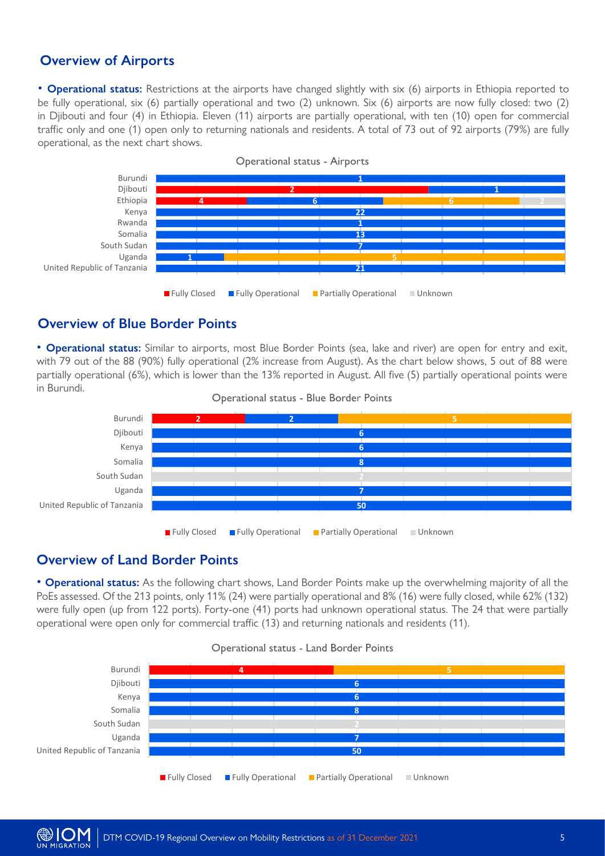### **Overview of Airports**

• **Operational status:** Restrictions at the airports have changed slightly with six (6) airports in Ethiopia reported to be fully operational, six (6) partially operational and two (2) unknown. Six (6) airports are now fully closed: two (2) in Djibouti and four (4) in Ethiopia. Eleven (11) airports are partially operational, with ten (10) open for commercial traffic only and one (1) open only to returning nationals and residents. A total of 73 out of 92 airports (79%) are fully operational, as the next chart shows.



#### **Overview of Blue Border Points**

• **Operational status:** Similar to airports, most Blue Border Points (sea, lake and river) are open for entry and exit, with 79 out of the 88 (90%) fully operational (2% increase from August). As the chart below shows, 5 out of 88 were partially operational (6%), which is lower than the 13% reported in August. All five (5) partially operational points were in Burundi.





### **Overview of Land Border Points**

• **Operational status:** As the following chart shows, Land Border Points make up the overwhelming majority of all the PoEs assessed. Of the 213 points, only 11% (24) were partially operational and 8% (16) were fully closed, while 62% (132) were fully open (up from 122 ports). Forty-one (41) ports had unknown operational status. The 24 that were partially operational were open only for commercial traffic (13) and returning nationals and residents (11).



#### Operational status - Land Border Points



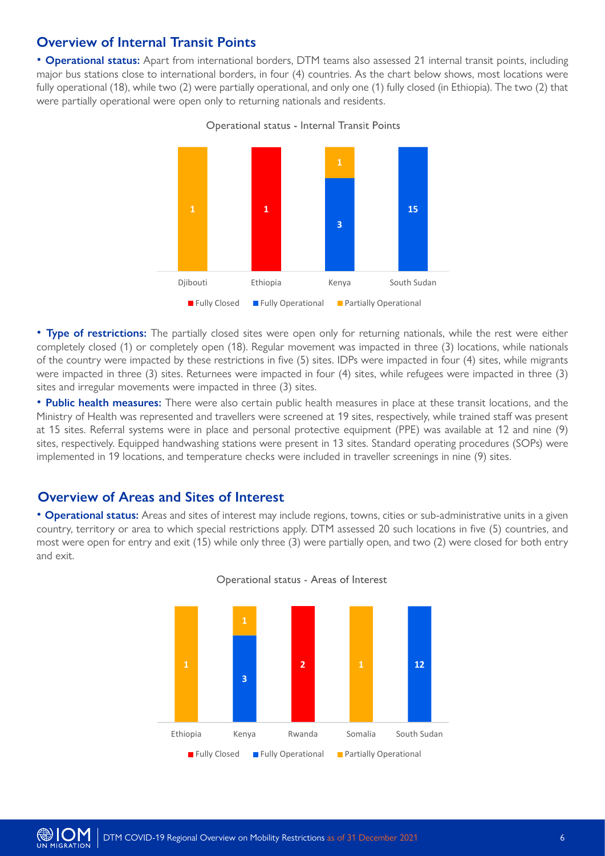#### **Overview of Internal Transit Points**

• **Operational status:** Apart from international borders, DTM teams also assessed 21 internal transit points, including major bus stations close to international borders, in four (4) countries. As the chart below shows, most locations were fully operational (18), while two (2) were partially operational, and only one (1) fully closed (in Ethiopia). The two (2) that were partially operational were open only to returning nationals and residents.

> **1 3 1 15** Djibouti Ethiopia Kenya South Sudan **Fully Closed Fully Operational Partially Operational**

Operational status - Internal Transit Points

• **Type of restrictions:** The partially closed sites were open only for returning nationals, while the rest were either completely closed (1) or completely open (18). Regular movement was impacted in three (3) locations, while nationals of the country were impacted by these restrictions in five (5) sites. IDPs were impacted in four (4) sites, while migrants were impacted in three (3) sites. Returnees were impacted in four (4) sites, while refugees were impacted in three (3) sites and irregular movements were impacted in three (3) sites.

• **Public health measures:** There were also certain public health measures in place at these transit locations, and the Ministry of Health was represented and travellers were screened at 19 sites, respectively, while trained staff was present at 15 sites. Referral systems were in place and personal protective equipment (PPE) was available at 12 and nine (9) sites, respectively. Equipped handwashing stations were present in 13 sites. Standard operating procedures (SOPs) were implemented in 19 locations, and temperature checks were included in traveller screenings in nine (9) sites.

#### **Overview of Areas and Sites of Interest**

• **Operational status:** Areas and sites of interest may include regions, towns, cities or sub-administrative units in a given country, territory or area to which special restrictions apply. DTM assessed 20 such locations in five (5) countries, and most were open for entry and exit (15) while only three (3) were partially open, and two (2) were closed for both entry and exit.